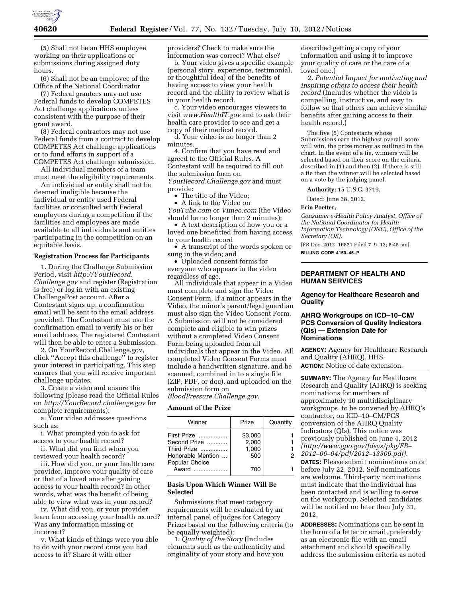

(5) Shall not be an HHS employee working on their applications or submissions during assigned duty hours.

(6) Shall not be an employee of the Office of the National Coordinator

(7) Federal grantees may not use Federal funds to develop COMPETES Act challenge applications unless consistent with the purpose of their grant award.

(8) Federal contractors may not use Federal funds from a contract to develop COMPETES Act challenge applications or to fund efforts in support of a COMPETES Act challenge submission.

All individual members of a team must meet the eligibility requirements.

An individual or entity shall not be deemed ineligible because the individual or entity used Federal facilities or consulted with Federal employees during a competition if the facilities and employees are made available to all individuals and entities participating in the competition on an equitable basis.

#### **Registration Process for Participants**

1. During the Challenge Submission Period, visit *[http://YourRecord.](http://YourRecord.Challenge.gov) [Challenge.gov](http://YourRecord.Challenge.gov)* and register (Registration is free) or log in with an existing ChallengePost account. After a Contestant signs up, a confirmation email will be sent to the email address provided. The Contestant must use the confirmation email to verify his or her email address. The registered Contestant will then be able to enter a Submission.

2. On YourRecord.Challenge.gov, click ''Accept this challenge'' to register your interest in participating. This step ensures that you will receive important challenge updates.

3. Create a video and ensure the following (please read the Official Rules on *<http://YourRecord.challenge.gov>*for complete requirements):

a. Your video addresses questions such as:

i. What prompted you to ask for access to your health record?

ii. What did you find when you reviewed your health record?

iii. How did you, or your health care provider, improve your quality of care or that of a loved one after gaining access to your health record? In other words, what was the benefit of being able to view what was in your record?

iv. What did you, or your provider learn from accessing your health record? Was any information missing or incorrect?

v. What kinds of things were you able to do with your record once you had access to it? Share it with other

providers? Check to make sure the information was correct? What else?

b. Your video gives a specific example (personal story, experience, testimonial, or thoughtful idea) of the benefits of having access to view your health record and the ability to review what is in your health record.

c. Your video encourages viewers to visit *[www.HealthIT.gov](http://www.HealthIT.gov)* and to ask their health care provider to see and get a copy of their medical record.

d. Your video is no longer than 2 minutes.

4. Confirm that you have read and agreed to the Official Rules. A Contestant will be required to fill out the submission form on *YourRecord.Challenge.gov* and must

provide: • The title of the Video;

• A link to the Video on

*YouTube.com* or *Vimeo.com* (the Video should be no longer than 2 minutes);

• A text description of how you or a loved one benefitted from having access to your health record

• A transcript of the words spoken or sung in the video; and

• Uploaded consent forms for everyone who appears in the video regardless of age.

All individuals that appear in a Video must complete and sign the Video Consent Form. If a minor appears in the Video, the minor's parent/legal guardian must also sign the Video Consent Form. A Submission will not be considered complete and eligible to win prizes without a completed Video Consent Form being uploaded from all individuals that appear in the Video. All completed Video Consent Forms must include a handwritten signature, and be scanned, combined in to a single file (ZIP, PDF, or doc), and uploaded on the submission form on *BloodPressure.Challenge.gov.* 

# **Amount of the Prize**

| Winner            | Prize   | Quantity |
|-------------------|---------|----------|
| First Prize       | \$3,000 |          |
| Second Prize      | 2,000   |          |
| Third Prize       | 1,000   |          |
| Honorable Mention | 500     |          |
| Popular Choice    |         |          |
| Award             |         |          |

# **Basis Upon Which Winner Will Be Selected**

Submissions that meet category requirements will be evaluated by an internal panel of judges for Category Prizes based on the following criteria (to be equally weighted):

1. *Quality of the Story* (Includes elements such as the authenticity and originality of your story and how you

described getting a copy of your information and using it to improve your quality of care or the care of a loved one.)

2. *Potential Impact for motivating and inspiring others to access their health record* (Includes whether the video is compelling, instructive, and easy to follow so that others can achieve similar benefits after gaining access to their health record.)

The five (5) Contestants whose Submissions earn the highest overall score will win, the prize money as outlined in the chart. In the event of a tie, winners will be selected based on their score on the criteria described in (1) and then (2). If there is still a tie then the winner will be selected based on a vote by the judging panel.

**Authority:** 15 U.S.C. 3719.

Dated: June 28, 2012.

### **Erin Poetter,**

*Consumer e-Health Policy Analyst, Office of the National Coordinator for Health Information Technology (ONC), Office of the Secretary (OS).* 

[FR Doc. 2012–16821 Filed 7–9–12; 8:45 am] **BILLING CODE 4150–45–P** 

# **DEPARTMENT OF HEALTH AND HUMAN SERVICES**

### **Agency for Healthcare Research and Quality**

### **AHRQ Workgroups on ICD–10–CM/ PCS Conversion of Quality Indicators (QIs) — Extension Date for Nominations**

**AGENCY:** Agency for Healthcare Research and Quality (AHRQ), HHS. **ACTION:** Notice of date extension.

**SUMMARY:** The Agency for Healthcare Research and Quality (AHRQ) is seeking nominations for members of approximately 10 multidisciplinary workgroups, to be convened by AHRQ's contractor, on ICD–10–CM/PCS conversion of the AHRQ Quality Indicators (QIs). This notice was previously published on June 4, 2012 *[\(http://www.gpo.gov/fdsys/pkg/FR–](http://www.gpo.gov/fdsys/pkg/FR-2012-06-04/pdf/2012-13306.pdf)  [2012–06–04/pdf/2012–13306.pdf\).](http://www.gpo.gov/fdsys/pkg/FR-2012-06-04/pdf/2012-13306.pdf)* 

**DATES:** Please submit nominations on or before July 22, 2012. Self-nominations are welcome. Third-party nominations must indicate that the individual has been contacted and is willing to serve on the workgroup. Selected candidates will be notified no later than July 31, 2012.

**ADDRESSES:** Nominations can be sent in the form of a letter or email, preferably as an electronic file with an email attachment and should specifically address the submission criteria as noted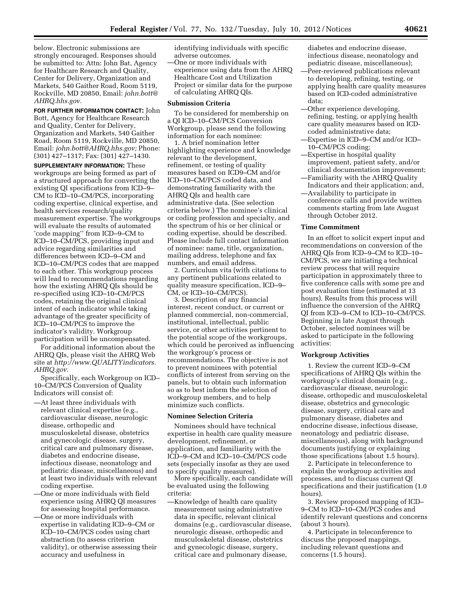below. Electronic submissions are strongly encouraged. Responses should be submitted to: Attn: John Bat, Agency for Healthcare Research and Quality, Center for Delivery, Organization and Markets, 540 Gaither Road, Room 5119, Rockville, MD 20850, Email: *[john.bott@](mailto:john.bott@AHRQ.hhs.gov) [AHRQ.hhs.gov.](mailto:john.bott@AHRQ.hhs.gov)* 

**FOR FURTHER INFORMATION CONTACT:** John Bott, Agency for Healthcare Research and Quality, Center for Delivery, Organization and Markets, 540 Gaither Road, Room 5119, Rockville, MD 20850, Email: *[john.bott@AHRQ.hhs.gov;](mailto:john.bott@AHRQ.hhs.gov)* Phone: (301) 427–1317; Fax: (301) 427–1430.

**SUPPLEMENTARY INFORMATION:** These workgroups are being formed as part of a structured approach for converting the existing QI specifications from ICD–9– CM to ICD–10–CM/PCS, incorporating coding expertise, clinical expertise, and health services research/quality measurement expertise. The workgroups will evaluate the results of automated 'code mapping'' from ICD–9–CM to ICD–10–CM/PCS, providing input and advice regarding similarities and differences between ICD–9–CM and ICD–10–CM/PCS codes that are mapped to each other. This workgroup process will lead to recommendations regarding how the existing AHRQ QIs should be re-specified using ICD–10–CM/PCS codes, retaining the original clinical intent of each indicator while taking advantage of the greater specificity of ICD–10–CM/PCS to improve the indicator's validity. Workgroup participation will be uncompensated.

For additional information about the AHRQ QIs, please visit the AHRQ Web site at *[http://www.QUALITYindicators.](http://www.QUALITYindicators.AHRQ.gov)  [AHRQ.gov.](http://www.QUALITYindicators.AHRQ.gov)* 

Specifically, each Workgroup on ICD– 10–CM/PCS Conversion of Quality Indicators will consist of:

- —At least three individuals with relevant clinical expertise (e.g., cardiovascular disease, neurologic disease, orthopedic and musculoskeletal disease, obstetrics and gynecologic disease, surgery, critical care and pulmonary disease, diabetes and endocrine disease, infectious disease, neonatology and pediatric disease, miscellaneous) and at least two individuals with relevant coding expertise.
- —One or more individuals with field experience using AHRQ QI measures for assessing hospital performance.
- —One or more individuals with expertise in validating ICD–9–CM or ICD–10–CM/PCS codes using chart abstraction (to assess criterion validity), or otherwise assessing their accuracy and usefulness in

identifying individuals with specific adverse outcomes.

—One or more individuals with experience using data from the AHRQ Healthcare Cost and Utilization Project or similar data for the purpose of calculating AHRQ QIs.

#### **Submission Criteria**

To be considered for membership on a QI ICD–10–CM/PCS Conversion Workgroup, please send the following information for each nominee:

1. A brief nomination letter highlighting experience and knowledge relevant to the development, refinement, or testing of quality measures based on ICD9–CM and/or ICD–10–CM/PCS coded data, and demonstrating familiarity with the AHRQ QIs and health care administrative data. (See selection criteria below.) The nominee's clinical or coding profession and specialty, and the spectrum of his or her clinical or coding expertise, should be described. Please include full contact information of nominee: name, title, organization, mailing address, telephone and fax numbers, and email address.

2. Curriculum vita (with citations to any pertinent publications related to quality measure specification, ICD–9– CM, or ICD–10–CM/PCS).

3. Description of any financial interest, recent conduct, or current or planned commercial, non-commercial, institutional, intellectual, public service, or other activities pertinent to the potential scope of the workgroups, which could be perceived as influencing the workgroup's process or recommendations. The objective is not to prevent nominees with potential conflicts of interest from serving on the panels, but to obtain such information so as to best inform the selection of workgroup members, and to help minimize such conflicts.

# **Nominee Selection Criteria**

Nominees should have technical expertise in health care quality measure development, refinement, or application, and familiarity with the ICD–9–CM and ICD–10–CM/PCS code sets (especially insofar as they are used to specify quality measures).

More specifically, each candidate will be evaluated using the following criteria:

—Knowledge of health care quality measurement using administrative data in specific, relevant clinical domains (e.g., cardiovascular disease, neurologic disease, orthopedic and musculoskeletal disease, obstetrics and gynecologic disease, surgery, critical care and pulmonary disease,

diabetes and endocrine disease, infectious disease, neonatology and pediatric disease, miscellaneous);

- —Peer-reviewed publications relevant to developing, refining, testing, or applying health care quality measures based on ICD-coded administrative data;
- —Other experience developing, refining, testing, or applying health care quality measures based on ICDcoded administrative data;
- —Expertise in ICD–9–CM and/or ICD– 10–CM/PCS coding;
- —Expertise in hospital quality improvement, patient safety, and/or clinical documentation improvement;
- —Familiarity with the AHRQ Quality Indicators and their application; and, —Availability to participate in conference calls and provide written comments starting from late August

# through October 2012.

#### **Time Commitment**

In an effort to solicit expert input and recommendations on conversion of the AHRQ QIs from ICD–9–CM to ICD–10– CM/PCS, we are initiating a technical review process that will require participation in approximately three to five conference calls with some pre and post evaluation time (estimated at 13 hours). Results from this process will influence the conversion of the AHRQ QI from ICD–9–CM to ICD–10–CM/PCS. Beginning in late August through October, selected nominees will be asked to participate in the following activities:

# **Workgroup Activities**

1. Review the current ICD–9–CM specifications of AHRQ QIs within the workgroup's clinical domain (e.g., cardiovascular disease, neurologic disease, orthopedic and musculoskeletal disease, obstetrics and gynecologic disease, surgery, critical care and pulmonary disease, diabetes and endocrine disease, infectious disease, neonatology and pediatric disease, miscellaneous), along with background documents justifying or explaining those specifications (about 1.5 hours).

2. Participate in teleconference to explain the workgroup activities and processes, and to discuss current QI specifications and their justification (1.0 hours).

3. Review proposed mapping of ICD– 9–CM to ICD–10–CM/PCS codes and identify relevant questions and concerns (about 3 hours).

4. Participate in teleconference to discuss the proposed mappings, including relevant questions and concerns (1.5 hours).